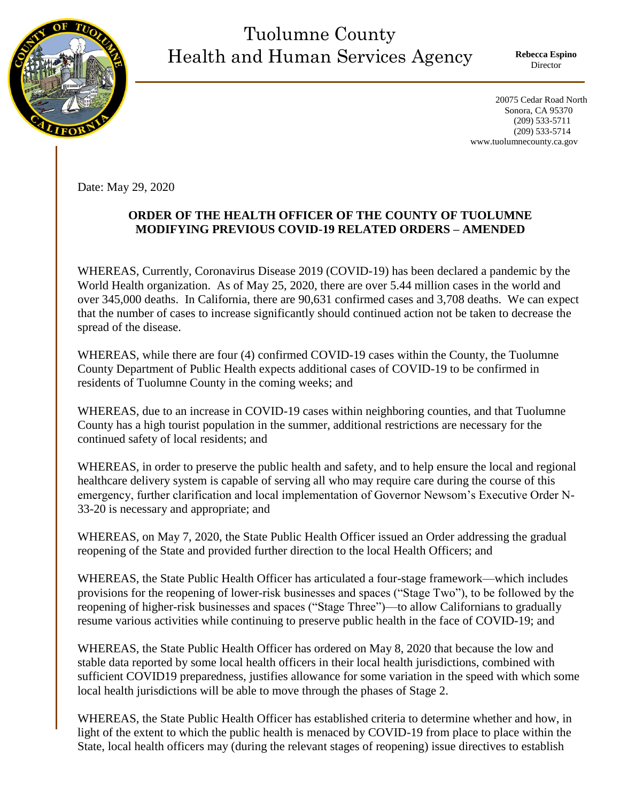

## Tuolumne County Health and Human Services Agency

**Rebecca Espino** Director

 20075 Cedar Road North Sonora, CA 95370 (209) 533-5711 (209) 533-5714 www.tuolumnecounty.ca.gov

Date: May 29, 2020

## **ORDER OF THE HEALTH OFFICER OF THE COUNTY OF TUOLUMNE MODIFYING PREVIOUS COVID-19 RELATED ORDERS – AMENDED**

WHEREAS, Currently, Coronavirus Disease 2019 (COVID-19) has been declared a pandemic by the World Health organization. As of May 25, 2020, there are over 5.44 million cases in the world and over 345,000 deaths. In California, there are 90,631 confirmed cases and 3,708 deaths. We can expect that the number of cases to increase significantly should continued action not be taken to decrease the spread of the disease.

WHEREAS, while there are four (4) confirmed COVID-19 cases within the County, the Tuolumne County Department of Public Health expects additional cases of COVID-19 to be confirmed in residents of Tuolumne County in the coming weeks; and

WHEREAS, due to an increase in COVID-19 cases within neighboring counties, and that Tuolumne County has a high tourist population in the summer, additional restrictions are necessary for the continued safety of local residents; and

WHEREAS, in order to preserve the public health and safety, and to help ensure the local and regional healthcare delivery system is capable of serving all who may require care during the course of this emergency, further clarification and local implementation of Governor Newsom's Executive Order N-33-20 is necessary and appropriate; and

WHEREAS, on May 7, 2020, the State Public Health Officer issued an Order addressing the gradual reopening of the State and provided further direction to the local Health Officers; and

WHEREAS, the State Public Health Officer has articulated a four-stage framework—which includes provisions for the reopening of lower-risk businesses and spaces ("Stage Two"), to be followed by the reopening of higher-risk businesses and spaces ("Stage Three")—to allow Californians to gradually resume various activities while continuing to preserve public health in the face of COVID-19; and

WHEREAS, the State Public Health Officer has ordered on May 8, 2020 that because the low and stable data reported by some local health officers in their local health jurisdictions, combined with sufficient COVID19 preparedness, justifies allowance for some variation in the speed with which some local health jurisdictions will be able to move through the phases of Stage 2.

WHEREAS, the State Public Health Officer has established criteria to determine whether and how, in light of the extent to which the public health is menaced by COVID-19 from place to place within the State, local health officers may (during the relevant stages of reopening) issue directives to establish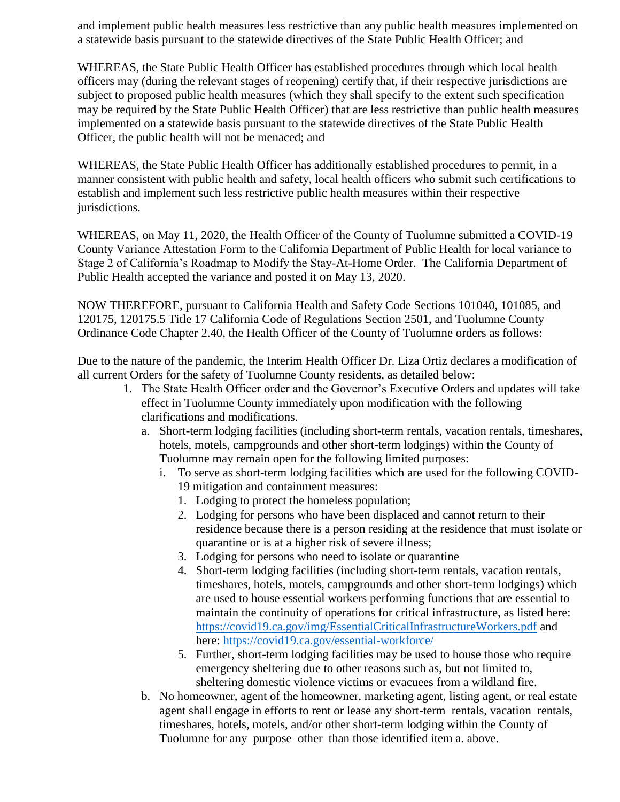and implement public health measures less restrictive than any public health measures implemented on a statewide basis pursuant to the statewide directives of the State Public Health Officer; and

WHEREAS, the State Public Health Officer has established procedures through which local health officers may (during the relevant stages of reopening) certify that, if their respective jurisdictions are subject to proposed public health measures (which they shall specify to the extent such specification may be required by the State Public Health Officer) that are less restrictive than public health measures implemented on a statewide basis pursuant to the statewide directives of the State Public Health Officer, the public health will not be menaced; and

WHEREAS, the State Public Health Officer has additionally established procedures to permit, in a manner consistent with public health and safety, local health officers who submit such certifications to establish and implement such less restrictive public health measures within their respective jurisdictions.

WHEREAS, on May 11, 2020, the Health Officer of the County of Tuolumne submitted a COVID-19 County Variance Attestation Form to the California Department of Public Health for local variance to Stage 2 of California's Roadmap to Modify the Stay-At-Home Order. The California Department of Public Health accepted the variance and posted it on May 13, 2020.

NOW THEREFORE, pursuant to California Health and Safety Code Sections 101040, 101085, and 120175, 120175.5 Title 17 California Code of Regulations Section 2501, and Tuolumne County Ordinance Code Chapter 2.40, the Health Officer of the County of Tuolumne orders as follows:

Due to the nature of the pandemic, the Interim Health Officer Dr. Liza Ortiz declares a modification of all current Orders for the safety of Tuolumne County residents, as detailed below:

- 1. The State Health Officer order and the Governor's Executive Orders and updates will take effect in Tuolumne County immediately upon modification with the following clarifications and modifications.
	- a. Short-term lodging facilities (including short-term rentals, vacation rentals, timeshares, hotels, motels, campgrounds and other short-term lodgings) within the County of Tuolumne may remain open for the following limited purposes:
		- i. To serve as short-term lodging facilities which are used for the following COVID-19 mitigation and containment measures:
			- 1. Lodging to protect the homeless population;
			- 2. Lodging for persons who have been displaced and cannot return to their residence because there is a person residing at the residence that must isolate or quarantine or is at a higher risk of severe illness;
			- 3. Lodging for persons who need to isolate or quarantine
			- 4. Short-term lodging facilities (including short-term rentals, vacation rentals, timeshares, hotels, motels, campgrounds and other short-term lodgings) which are used to house essential workers performing functions that are essential to maintain the continuity of operations for critical infrastructure, as listed here: <https://covid19.ca.gov/img/EssentialCriticalInfrastructureWorkers.pdf> and here:<https://covid19.ca.gov/essential-workforce/>
			- 5. Further, short-term lodging facilities may be used to house those who require emergency sheltering due to other reasons such as, but not limited to, sheltering domestic violence victims or evacuees from a wildland fire.
	- b. No homeowner, agent of the homeowner, marketing agent, listing agent, or real estate agent shall engage in efforts to rent or lease any short-term rentals, vacation rentals, timeshares, hotels, motels, and/or other short-term lodging within the County of Tuolumne for any purpose other than those identified item a. above.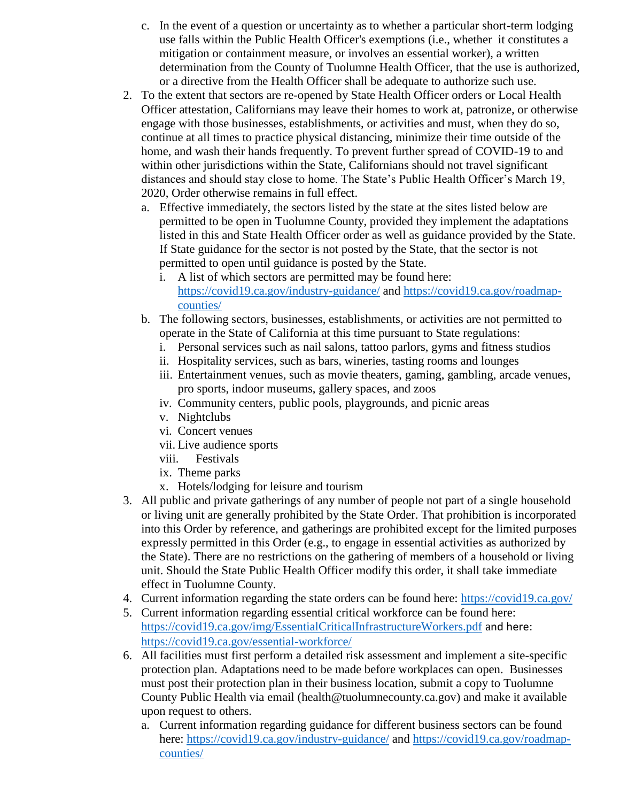- c. In the event of a question or uncertainty as to whether a particular short-term lodging use falls within the Public Health Officer's exemptions (i.e., whether it constitutes a mitigation or containment measure, or involves an essential worker), a written determination from the County of Tuolumne Health Officer, that the use is authorized, or a directive from the Health Officer shall be adequate to authorize such use.
- 2. To the extent that sectors are re-opened by State Health Officer orders or Local Health Officer attestation, Californians may leave their homes to work at, patronize, or otherwise engage with those businesses, establishments, or activities and must, when they do so, continue at all times to practice physical distancing, minimize their time outside of the home, and wash their hands frequently. To prevent further spread of COVID-19 to and within other jurisdictions within the State, Californians should not travel significant distances and should stay close to home. The State's Public Health Officer's March 19, 2020, Order otherwise remains in full effect.
	- a. Effective immediately, the sectors listed by the state at the sites listed below are permitted to be open in Tuolumne County, provided they implement the adaptations listed in this and State Health Officer order as well as guidance provided by the State. If State guidance for the sector is not posted by the State, that the sector is not permitted to open until guidance is posted by the State.
		- i. A list of which sectors are permitted may be found here: <https://covid19.ca.gov/industry-guidance/> and [https://covid19.ca.gov/roadmap](https://covid19.ca.gov/roadmap-counties/)[counties/](https://covid19.ca.gov/roadmap-counties/)
	- b. The following sectors, businesses, establishments, or activities are not permitted to operate in the State of California at this time pursuant to State regulations:
		- i. Personal services such as nail salons, tattoo parlors, gyms and fitness studios
		- ii. Hospitality services, such as bars, wineries, tasting rooms and lounges
		- iii. Entertainment venues, such as movie theaters, gaming, gambling, arcade venues, pro sports, indoor museums, gallery spaces, and zoos
		- iv. Community centers, public pools, playgrounds, and picnic areas
		- v. Nightclubs
		- vi. Concert venues
		- vii. Live audience sports
		- viii. Festivals
		- ix. Theme parks
		- x. Hotels/lodging for leisure and tourism
- 3. All public and private gatherings of any number of people not part of a single household or living unit are generally prohibited by the State Order. That prohibition is incorporated into this Order by reference, and gatherings are prohibited except for the limited purposes expressly permitted in this Order (e.g., to engage in essential activities as authorized by the State). There are no restrictions on the gathering of members of a household or living unit. Should the State Public Health Officer modify this order, it shall take immediate effect in Tuolumne County.
- 4. Current information regarding the state orders can be found here:<https://covid19.ca.gov/>
- 5. Current information regarding essential critical workforce can be found here: <https://covid19.ca.gov/img/EssentialCriticalInfrastructureWorkers.pdf> and here: <https://covid19.ca.gov/essential-workforce/>
- 6. All facilities must first perform a detailed risk assessment and implement a site-specific protection plan. Adaptations need to be made before workplaces can open. Businesses must post their protection plan in their business location, submit a copy to Tuolumne County Public Health via email (health@tuolumnecounty.ca.gov) and make it available upon request to others.
	- a. Current information regarding guidance for different business sectors can be found here:<https://covid19.ca.gov/industry-guidance/> and [https://covid19.ca.gov/roadmap](https://covid19.ca.gov/roadmap-counties/)[counties/](https://covid19.ca.gov/roadmap-counties/)